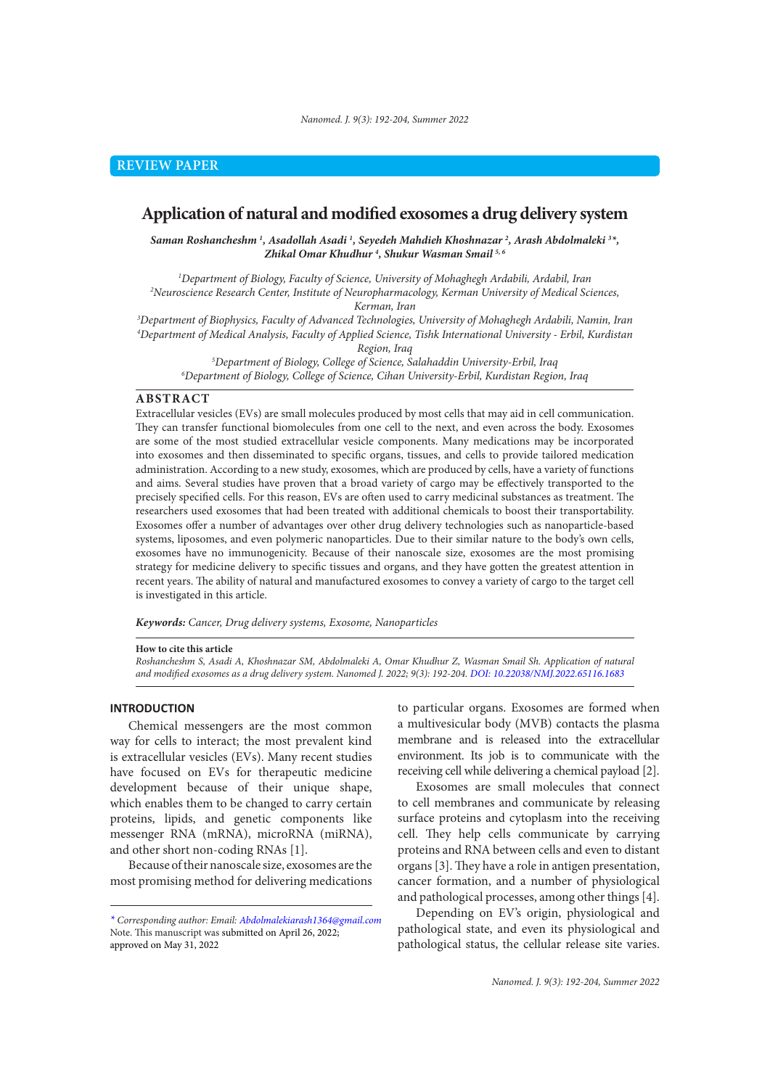# **Application of natural and modified exosomes a drug delivery system**

*Saman Roshancheshm 1 , Asadollah Asadi 1 , Seyedeh Mahdieh Khoshnazar 2 , Arash Abdolmaleki 3 \*, Zhikal Omar Khudhur 4 , Shukur Wasman Smail 5, 6*

*1 Department of Biology, Faculty of Science, University of Mohaghegh Ardabili, Ardabil, Iran 2 Neuroscience Research Center, Institute of Neuropharmacology, Kerman University of Medical Sciences,* 

*Kerman, Iran 3 Department of Biophysics, Faculty of Advanced Technologies, University of Mohaghegh Ardabili, Namin, Iran 4 Department of Medical Analysis, Faculty of Applied Science, Tishk International University - Erbil, Kurdistan Region, Iraq*

*5 Department of Biology, College of Science, Salahaddin University-Erbil, Iraq 6 Department of Biology, College of Science, Cihan University-Erbil, Kurdistan Region, Iraq*

### **ABSTRACT**

Extracellular vesicles (EVs) are small molecules produced by most cells that may aid in cell communication. They can transfer functional biomolecules from one cell to the next, and even across the body. Exosomes are some of the most studied extracellular vesicle components. Many medications may be incorporated into exosomes and then disseminated to specific organs, tissues, and cells to provide tailored medication administration. According to a new study, exosomes, which are produced by cells, have a variety of functions and aims. Several studies have proven that a broad variety of cargo may be effectively transported to the precisely specified cells. For this reason, EVs are often used to carry medicinal substances as treatment. The researchers used exosomes that had been treated with additional chemicals to boost their transportability. Exosomes offer a number of advantages over other drug delivery technologies such as nanoparticle-based systems, liposomes, and even polymeric nanoparticles. Due to their similar nature to the body's own cells, exosomes have no immunogenicity. Because of their nanoscale size, exosomes are the most promising strategy for medicine delivery to specific tissues and organs, and they have gotten the greatest attention in recent years. The ability of natural and manufactured exosomes to convey a variety of cargo to the target cell is investigated in this article.

*Keywords: Cancer, Drug delivery systems, Exosome, Nanoparticles*

#### **How to cite this article**

*Roshancheshm S, Asadi A, Khoshnazar SM, Abdolmaleki A, Omar Khudhur Z, Wasman Smail Sh. Application of natural and modified exosomes as a drug delivery system. Nanomed J. 2022; 9(3): 192-204. DOI: 10.22038/NMJ.2022.65116.1683*

### **INTRODUCTION**

Chemical messengers are the most common way for cells to interact; the most prevalent kind is extracellular vesicles (EVs). Many recent studies have focused on EVs for therapeutic medicine development because of their unique shape, which enables them to be changed to carry certain proteins, lipids, and genetic components like messenger RNA (mRNA), microRNA (miRNA), and other short non-coding RNAs [1].

Because of their nanoscale size, exosomes are the most promising method for delivering medications

to particular organs. Exosomes are formed when a multivesicular body (MVB) contacts the plasma membrane and is released into the extracellular environment. Its job is to communicate with the receiving cell while delivering a chemical payload [2].

Exosomes are small molecules that connect to cell membranes and communicate by releasing surface proteins and cytoplasm into the receiving cell. They help cells communicate by carrying proteins and RNA between cells and even to distant organs [3]. They have a role in antigen presentation, cancer formation, and a number of physiological and pathological processes, among other things [4].

Depending on EV's origin, physiological and pathological state, and even its physiological and pathological status, the cellular release site varies.

*<sup>\*</sup> Corresponding author: Email: Abdolmalekiarash1364@gmail.com*  Note. This manuscript was submitted on April 26, 2022; approved on May 31, 2022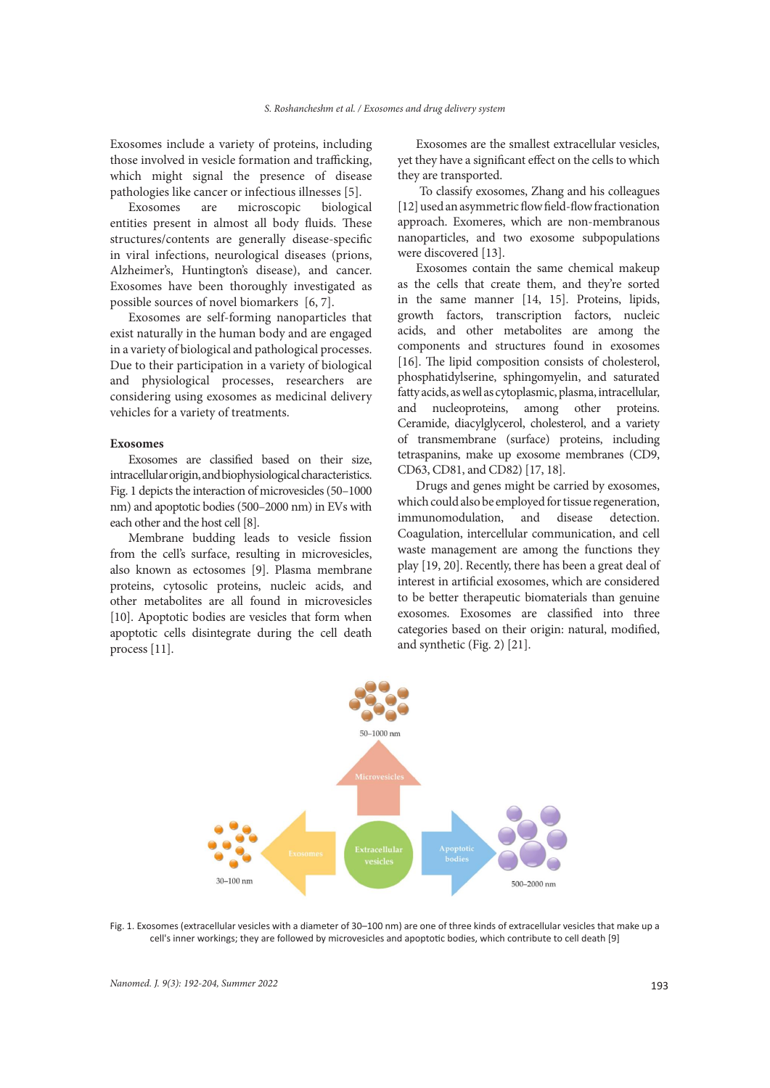Exosomes include a variety of proteins, including those involved in vesicle formation and trafficking, which might signal the presence of disease pathologies like cancer or infectious illnesses [5].

Exosomes are microscopic biological entities present in almost all body fluids. These structures/contents are generally disease-specific in viral infections, neurological diseases (prions, Alzheimer's, Huntington's disease), and cancer. Exosomes have been thoroughly investigated as possible sources of novel biomarkers [6, 7].

Exosomes are self-forming nanoparticles that exist naturally in the human body and are engaged in a variety of biological and pathological processes. Due to their participation in a variety of biological and physiological processes, researchers are considering using exosomes as medicinal delivery vehicles for a variety of treatments.

#### **Exosomes**

Exosomes are classified based on their size, intracellular origin, and biophysiological characteristics. Fig. 1 depicts the interaction of microvesicles (50–1000 nm) and apoptotic bodies (500–2000 nm) in EVs with each other and the host cell [8].

Membrane budding leads to vesicle fission from the cell's surface, resulting in microvesicles, also known as ectosomes [9]. Plasma membrane proteins, cytosolic proteins, nucleic acids, and other metabolites are all found in microvesicles [10]. Apoptotic bodies are vesicles that form when apoptotic cells disintegrate during the cell death process [11].

Exosomes are the smallest extracellular vesicles, yet they have a significant effect on the cells to which they are transported.

 To classify exosomes, Zhang and his colleagues [12] used an asymmetric flow field-flow fractionation approach. Exomeres, which are non-membranous nanoparticles, and two exosome subpopulations were discovered [13].

Exosomes contain the same chemical makeup as the cells that create them, and they're sorted in the same manner [14, 15]. Proteins, lipids, growth factors, transcription factors, nucleic acids, and other metabolites are among the components and structures found in exosomes [16]. The lipid composition consists of cholesterol, phosphatidylserine, sphingomyelin, and saturated fatty acids, as well as cytoplasmic, plasma, intracellular, and nucleoproteins, among other proteins. Ceramide, diacylglycerol, cholesterol, and a variety of transmembrane (surface) proteins, including tetraspanins, make up exosome membranes (CD9, CD63, CD81, and CD82) [17, 18].

Drugs and genes might be carried by exosomes, which could also be employed for tissue regeneration, immunomodulation, and disease detection. Coagulation, intercellular communication, and cell waste management are among the functions they play [19, 20]. Recently, there has been a great deal of interest in artificial exosomes, which are considered to be better therapeutic biomaterials than genuine exosomes. Exosomes are classified into three categories based on their origin: natural, modified, and synthetic (Fig. 2) [21].



Fig. 1. Exosomes (extracellular vesicles with a diameter of 30–100 nm) are one of three kinds of extracellular vesicles that make up a cell's inner workings; they are followed by microvesicles and apoptotic bodies, which contribute to cell death [9]

*Nanomed. J. 9(3): 192-204, Summer 2022* 193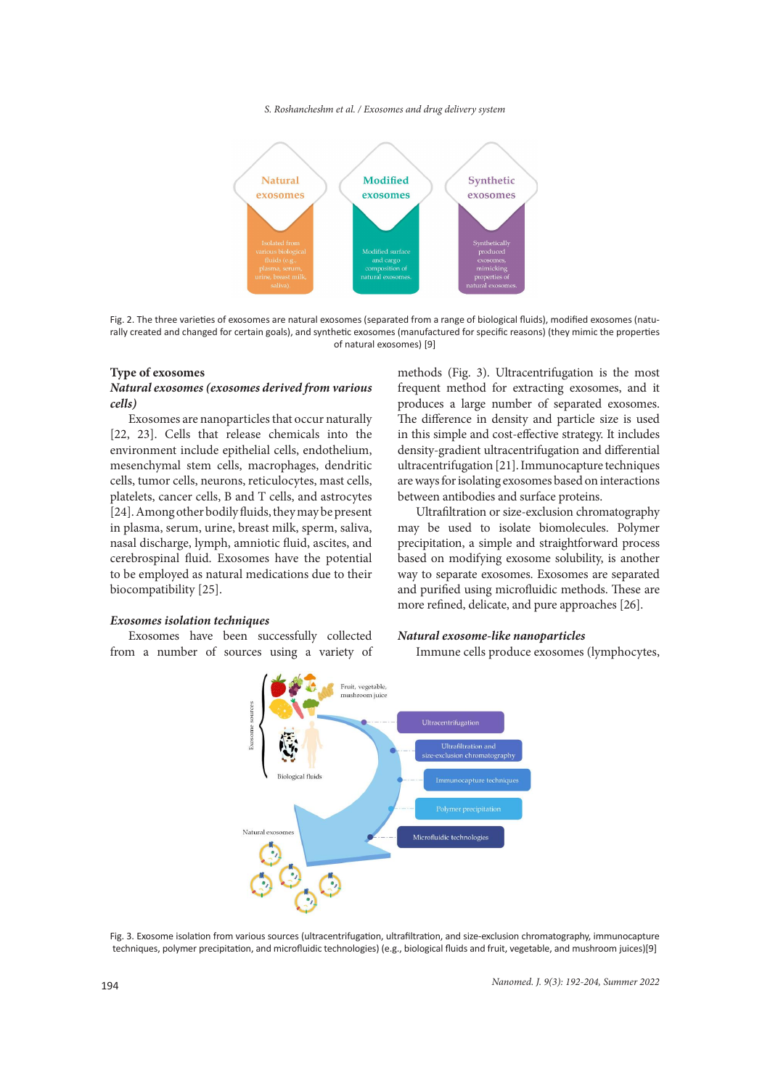### *S. Roshancheshm et al. / Exosomes and drug delivery system*



Fig. 2. The three varieties of exosomes are natural exosomes (separated from a range of biological fluids), modified exosomes (naturally created and changed for certain goals), and synthetic exosomes (manufactured for specific reasons) (they mimic the properties of natural exosomes) [9]

#### **Type of exosomes**

### *Natural exosomes (exosomes derived from various cells)*

Exosomes are nanoparticles that occur naturally [22, 23]. Cells that release chemicals into the environment include epithelial cells, endothelium, mesenchymal stem cells, macrophages, dendritic cells, tumor cells, neurons, reticulocytes, mast cells, platelets, cancer cells, B and T cells, and astrocytes [24]. Among other bodily fluids, they may be present in plasma, serum, urine, breast milk, sperm, saliva, nasal discharge, lymph, amniotic fluid, ascites, and cerebrospinal fluid. Exosomes have the potential to be employed as natural medications due to their biocompatibility [25].

### *Exosomes isolation techniques*

Exosomes have been successfully collected from a number of sources using a variety of methods (Fig. 3). Ultracentrifugation is the most frequent method for extracting exosomes, and it produces a large number of separated exosomes. The difference in density and particle size is used in this simple and cost-effective strategy. It includes density-gradient ultracentrifugation and differential ultracentrifugation [21]. Immunocapture techniques are ways for isolating exosomes based on interactions between antibodies and surface proteins.

Ultrafiltration or size-exclusion chromatography may be used to isolate biomolecules. Polymer precipitation, a simple and straightforward process based on modifying exosome solubility, is another way to separate exosomes. Exosomes are separated and purified using microfluidic methods. These are more refined, delicate, and pure approaches [26].

### *Natural exosome-like nanoparticles*

Immune cells produce exosomes (lymphocytes,



Fig. 3. Exosome isolation from various sources (ultracentrifugation, ultrafiltration, and size-exclusion chromatography, immunocapture techniques, polymer precipitation, and microfluidic technologies) (e.g., biological fluids and fruit, vegetable, and mushroom juices)[9]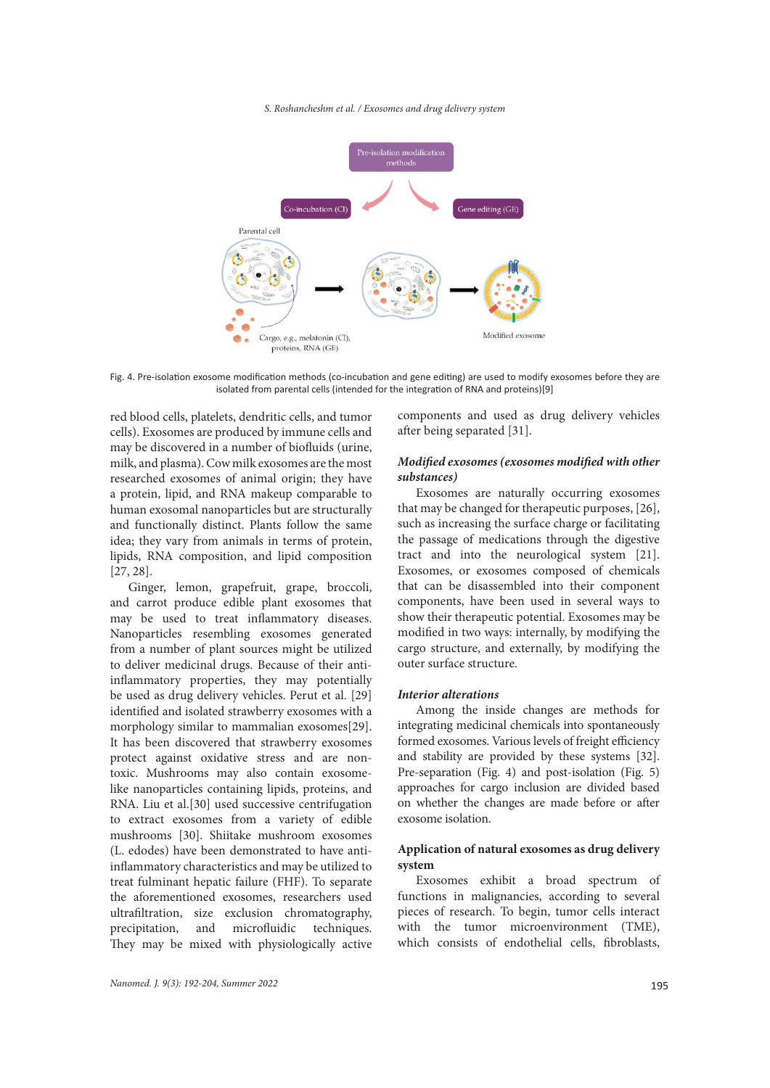#### *S. Roshancheshm et al. / Exosomes and drug delivery system*



Fig. 4. Pre-isolation exosome modification methods (co-incubation and gene editing) are used to modify exosomes before they are isolated from parental cells (intended for the integration of RNA and proteins)[9]

red blood cells, platelets, dendritic cells, and tumor cells). Exosomes are produced by immune cells and may be discovered in a number of biofluids (urine, milk, and plasma). Cow milk exosomes are the most researched exosomes of animal origin; they have a protein, lipid, and RNA makeup comparable to human exosomal nanoparticles but are structurally and functionally distinct. Plants follow the same idea; they vary from animals in terms of protein, lipids, RNA composition, and lipid composition [27, 28].

Ginger, lemon, grapefruit, grape, broccoli, and carrot produce edible plant exosomes that may be used to treat inflammatory diseases. Nanoparticles resembling exosomes generated from a number of plant sources might be utilized to deliver medicinal drugs. Because of their antiinflammatory properties, they may potentially be used as drug delivery vehicles. Perut et al. [29] identified and isolated strawberry exosomes with a morphology similar to mammalian exosomes[29]. It has been discovered that strawberry exosomes protect against oxidative stress and are nontoxic. Mushrooms may also contain exosomelike nanoparticles containing lipids, proteins, and RNA. Liu et al.[30] used successive centrifugation to extract exosomes from a variety of edible mushrooms [30]. Shiitake mushroom exosomes (L. edodes) have been demonstrated to have antiinflammatory characteristics and may be utilized to treat fulminant hepatic failure (FHF). To separate the aforementioned exosomes, researchers used ultrafiltration, size exclusion chromatography, precipitation, and microfluidic techniques. They may be mixed with physiologically active

components and used as drug delivery vehicles after being separated [31].

## *Modified exosomes (exosomes modified with other substances)*

Exosomes are naturally occurring exosomes that may be changed for therapeutic purposes, [26], such as increasing the surface charge or facilitating the passage of medications through the digestive tract and into the neurological system [21]. Exosomes, or exosomes composed of chemicals that can be disassembled into their component components, have been used in several ways to show their therapeutic potential. Exosomes may be modified in two ways: internally, by modifying the cargo structure, and externally, by modifying the outer surface structure.

### *Interior alterations*

Among the inside changes are methods for integrating medicinal chemicals into spontaneously formed exosomes. Various levels of freight efficiency and stability are provided by these systems [32]. Pre-separation (Fig. 4) and post-isolation (Fig. 5) approaches for cargo inclusion are divided based on whether the changes are made before or after exosome isolation.

## **Application of natural exosomes as drug delivery system**

Exosomes exhibit a broad spectrum of functions in malignancies, according to several pieces of research. To begin, tumor cells interact with the tumor microenvironment (TME), which consists of endothelial cells, fibroblasts,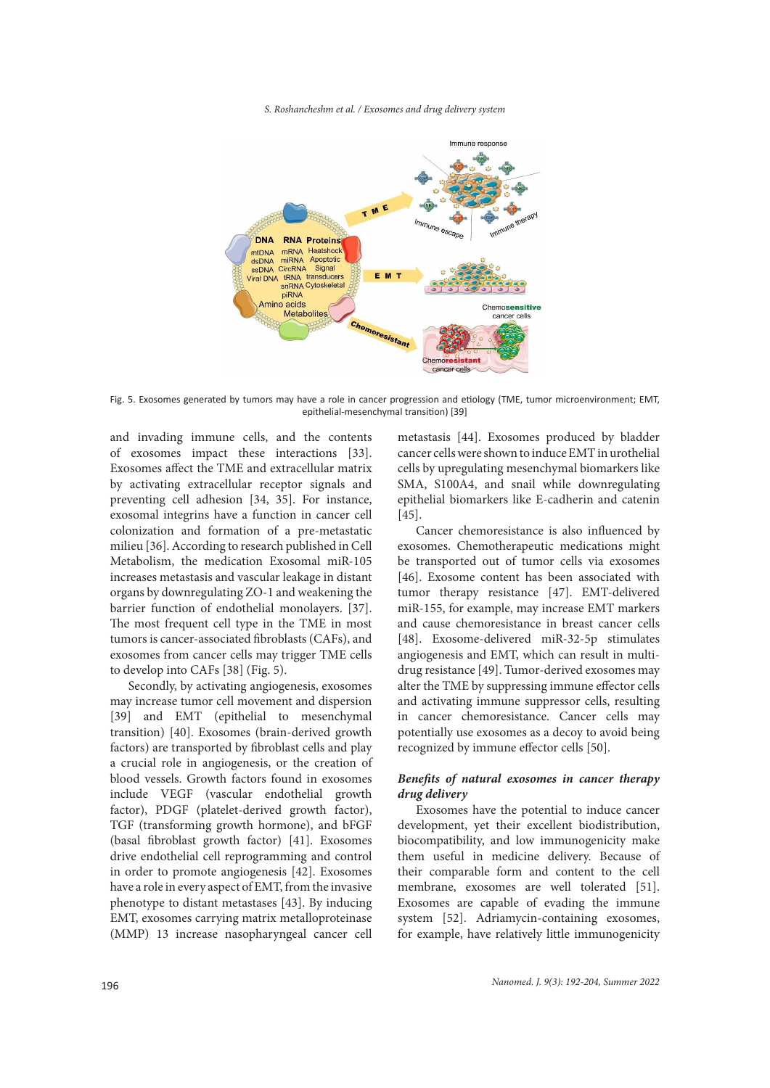*S. Roshancheshm et al. / Exosomes and drug delivery system*



Fig. 5. Exosomes generated by tumors may have a role in cancer progression and etiology (TME, tumor microenvironment; EMT, epithelial-mesenchymal transition) [39]

and invading immune cells, and the contents of exosomes impact these interactions [33]. Exosomes affect the TME and extracellular matrix by activating extracellular receptor signals and preventing cell adhesion [34, 35]. For instance, exosomal integrins have a function in cancer cell colonization and formation of a pre-metastatic milieu [36]. According to research published in Cell Metabolism, the medication Exosomal miR-105 increases metastasis and vascular leakage in distant organs by downregulating ZO-1 and weakening the barrier function of endothelial monolayers. [37]. The most frequent cell type in the TME in most tumors is cancer-associated fibroblasts (CAFs), and exosomes from cancer cells may trigger TME cells to develop into CAFs [38] (Fig. 5).

Secondly, by activating angiogenesis, exosomes may increase tumor cell movement and dispersion [39] and EMT (epithelial to mesenchymal transition) [40]. Exosomes (brain-derived growth factors) are transported by fibroblast cells and play a crucial role in angiogenesis, or the creation of blood vessels. Growth factors found in exosomes include VEGF (vascular endothelial growth factor), PDGF (platelet-derived growth factor), TGF (transforming growth hormone), and bFGF (basal fibroblast growth factor) [41]. Exosomes drive endothelial cell reprogramming and control in order to promote angiogenesis [42]. Exosomes have a role in every aspect of EMT, from the invasive phenotype to distant metastases [43]. By inducing EMT, exosomes carrying matrix metalloproteinase (MMP) 13 increase nasopharyngeal cancer cell

metastasis [44]. Exosomes produced by bladder cancer cells were shown to induce EMT in urothelial cells by upregulating mesenchymal biomarkers like SMA, S100A4, and snail while downregulating epithelial biomarkers like E-cadherin and catenin [45].

Cancer chemoresistance is also influenced by exosomes. Chemotherapeutic medications might be transported out of tumor cells via exosomes [46]. Exosome content has been associated with tumor therapy resistance [47]. EMT-delivered miR-155, for example, may increase EMT markers and cause chemoresistance in breast cancer cells [48]. Exosome-delivered miR-32-5p stimulates angiogenesis and EMT, which can result in multidrug resistance [49]. Tumor-derived exosomes may alter the TME by suppressing immune effector cells and activating immune suppressor cells, resulting in cancer chemoresistance. Cancer cells may potentially use exosomes as a decoy to avoid being recognized by immune effector cells [50].

## *Benefits of natural exosomes in cancer therapy drug delivery*

Exosomes have the potential to induce cancer development, yet their excellent biodistribution, biocompatibility, and low immunogenicity make them useful in medicine delivery. Because of their comparable form and content to the cell membrane, exosomes are well tolerated [51]. Exosomes are capable of evading the immune system [52]. Adriamycin-containing exosomes, for example, have relatively little immunogenicity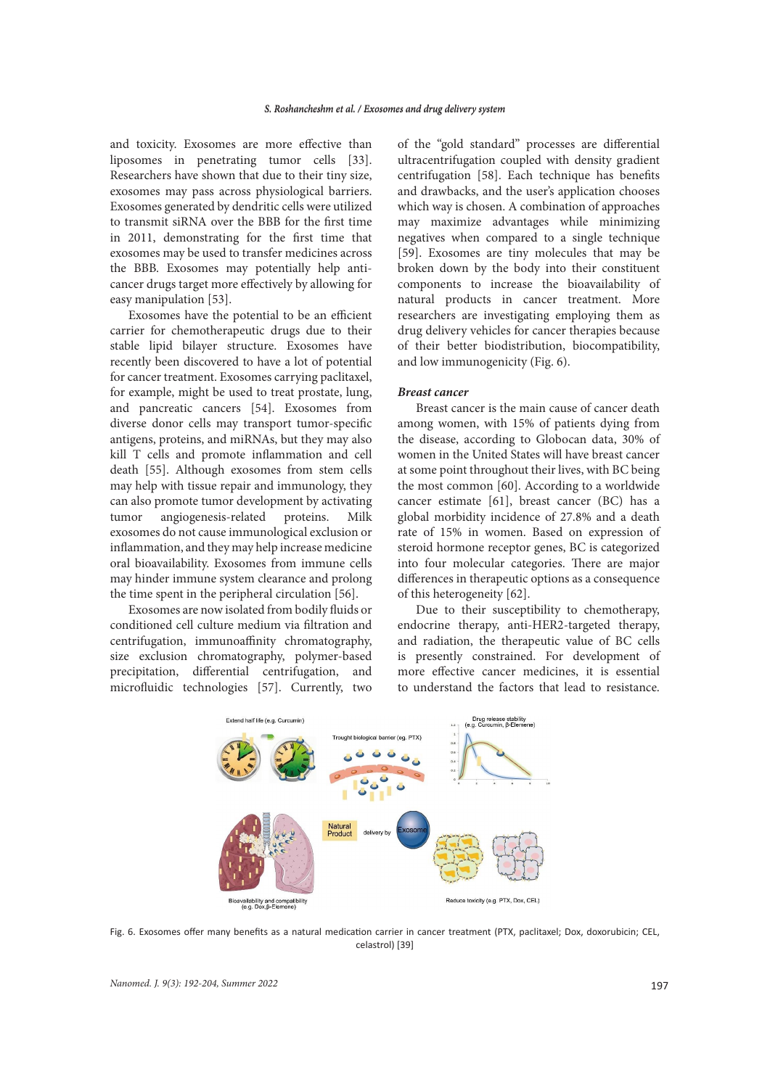and toxicity. Exosomes are more effective than liposomes in penetrating tumor cells [33]. Researchers have shown that due to their tiny size, exosomes may pass across physiological barriers. Exosomes generated by dendritic cells were utilized to transmit siRNA over the BBB for the first time in 2011, demonstrating for the first time that exosomes may be used to transfer medicines across the BBB. Exosomes may potentially help anticancer drugs target more effectively by allowing for easy manipulation [53].

Exosomes have the potential to be an efficient carrier for chemotherapeutic drugs due to their stable lipid bilayer structure. Exosomes have recently been discovered to have a lot of potential for cancer treatment. Exosomes carrying paclitaxel, for example, might be used to treat prostate, lung, and pancreatic cancers [54]. Exosomes from diverse donor cells may transport tumor-specific antigens, proteins, and miRNAs, but they may also kill T cells and promote inflammation and cell death [55]. Although exosomes from stem cells may help with tissue repair and immunology, they can also promote tumor development by activating tumor angiogenesis-related proteins. Milk exosomes do not cause immunological exclusion or inflammation, and they may help increase medicine oral bioavailability. Exosomes from immune cells may hinder immune system clearance and prolong the time spent in the peripheral circulation [56].

Exosomes are now isolated from bodily fluids or conditioned cell culture medium via filtration and centrifugation, immunoaffinity chromatography, size exclusion chromatography, polymer-based precipitation, differential centrifugation, and microfluidic technologies [57]. Currently, two of the "gold standard" processes are differential ultracentrifugation coupled with density gradient centrifugation [58]. Each technique has benefits and drawbacks, and the user's application chooses which way is chosen. A combination of approaches may maximize advantages while minimizing negatives when compared to a single technique [59]. Exosomes are tiny molecules that may be broken down by the body into their constituent components to increase the bioavailability of natural products in cancer treatment. More researchers are investigating employing them as drug delivery vehicles for cancer therapies because of their better biodistribution, biocompatibility, and low immunogenicity (Fig. 6).

### *Breast cancer*

Breast cancer is the main cause of cancer death among women, with 15% of patients dying from the disease, according to Globocan data, 30% of women in the United States will have breast cancer at some point throughout their lives, with BC being the most common [60]. According to a worldwide cancer estimate [61], breast cancer (BC) has a global morbidity incidence of 27.8% and a death rate of 15% in women. Based on expression of steroid hormone receptor genes, BC is categorized into four molecular categories. There are major differences in therapeutic options as a consequence of this heterogeneity [62].

Due to their susceptibility to chemotherapy, endocrine therapy, anti-HER2-targeted therapy, and radiation, the therapeutic value of BC cells is presently constrained. For development of more effective cancer medicines, it is essential to understand the factors that lead to resistance.



Fig. 6. Exosomes offer many benefits as a natural medication carrier in cancer treatment (PTX, paclitaxel; Dox, doxorubicin; CEL, celastrol) [39]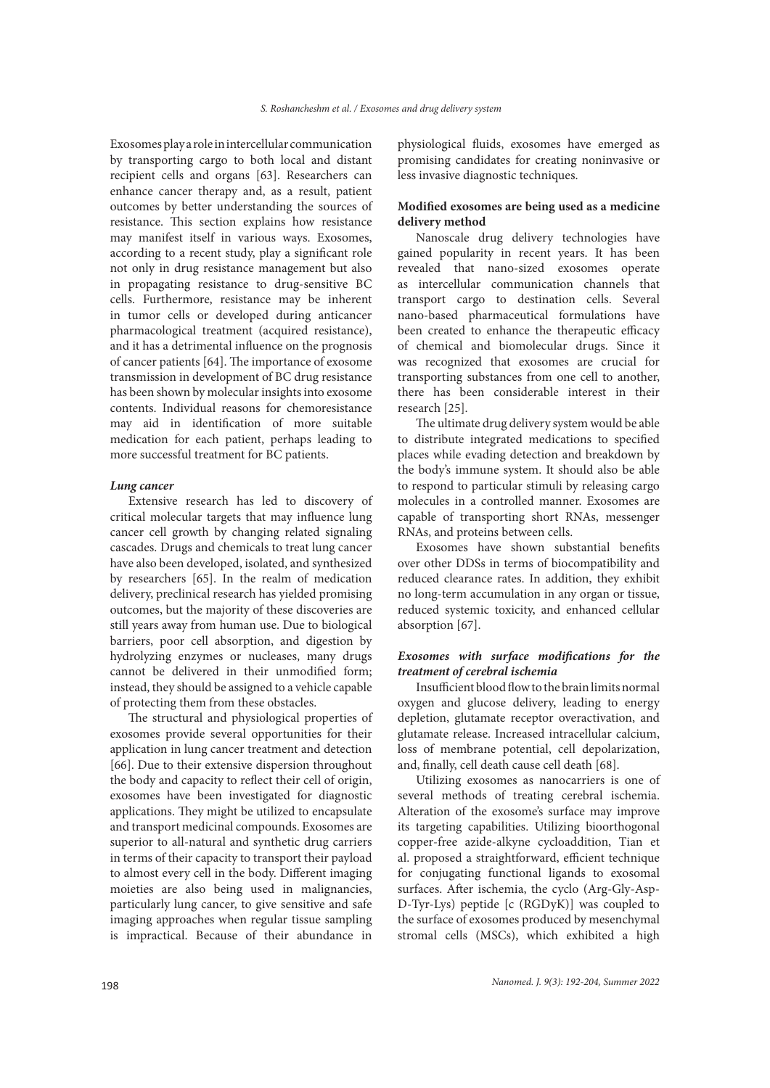Exosomes play a role in intercellular communication by transporting cargo to both local and distant recipient cells and organs [63]. Researchers can enhance cancer therapy and, as a result, patient outcomes by better understanding the sources of resistance. This section explains how resistance may manifest itself in various ways. Exosomes, according to a recent study, play a significant role not only in drug resistance management but also in propagating resistance to drug-sensitive BC cells. Furthermore, resistance may be inherent in tumor cells or developed during anticancer pharmacological treatment (acquired resistance), and it has a detrimental influence on the prognosis of cancer patients [64]. The importance of exosome transmission in development of BC drug resistance has been shown by molecular insights into exosome contents. Individual reasons for chemoresistance may aid in identification of more suitable medication for each patient, perhaps leading to more successful treatment for BC patients.

### *Lung cancer*

Extensive research has led to discovery of critical molecular targets that may influence lung cancer cell growth by changing related signaling cascades. Drugs and chemicals to treat lung cancer have also been developed, isolated, and synthesized by researchers [65]. In the realm of medication delivery, preclinical research has yielded promising outcomes, but the majority of these discoveries are still years away from human use. Due to biological barriers, poor cell absorption, and digestion by hydrolyzing enzymes or nucleases, many drugs cannot be delivered in their unmodified form; instead, they should be assigned to a vehicle capable of protecting them from these obstacles.

The structural and physiological properties of exosomes provide several opportunities for their application in lung cancer treatment and detection [66]. Due to their extensive dispersion throughout the body and capacity to reflect their cell of origin, exosomes have been investigated for diagnostic applications. They might be utilized to encapsulate and transport medicinal compounds. Exosomes are superior to all-natural and synthetic drug carriers in terms of their capacity to transport their payload to almost every cell in the body. Different imaging moieties are also being used in malignancies, particularly lung cancer, to give sensitive and safe imaging approaches when regular tissue sampling is impractical. Because of their abundance in

physiological fluids, exosomes have emerged as promising candidates for creating noninvasive or less invasive diagnostic techniques.

## **Modified exosomes are being used as a medicine delivery method**

Nanoscale drug delivery technologies have gained popularity in recent years. It has been revealed that nano-sized exosomes operate as intercellular communication channels that transport cargo to destination cells. Several nano-based pharmaceutical formulations have been created to enhance the therapeutic efficacy of chemical and biomolecular drugs. Since it was recognized that exosomes are crucial for transporting substances from one cell to another, there has been considerable interest in their research [25].

The ultimate drug delivery system would be able to distribute integrated medications to specified places while evading detection and breakdown by the body's immune system. It should also be able to respond to particular stimuli by releasing cargo molecules in a controlled manner. Exosomes are capable of transporting short RNAs, messenger RNAs, and proteins between cells.

Exosomes have shown substantial benefits over other DDSs in terms of biocompatibility and reduced clearance rates. In addition, they exhibit no long-term accumulation in any organ or tissue, reduced systemic toxicity, and enhanced cellular absorption [67].

## *Exosomes with surface modifications for the treatment of cerebral ischemia*

Insufficient blood flow to the brain limits normal oxygen and glucose delivery, leading to energy depletion, glutamate receptor overactivation, and glutamate release. Increased intracellular calcium, loss of membrane potential, cell depolarization, and, finally, cell death cause cell death [68].

Utilizing exosomes as nanocarriers is one of several methods of treating cerebral ischemia. Alteration of the exosome's surface may improve its targeting capabilities. Utilizing bioorthogonal copper-free azide-alkyne cycloaddition, Tian et al. proposed a straightforward, efficient technique for conjugating functional ligands to exosomal surfaces. After ischemia, the cyclo (Arg-Gly-Asp-D-Tyr-Lys) peptide [c (RGDyK)] was coupled to the surface of exosomes produced by mesenchymal stromal cells (MSCs), which exhibited a high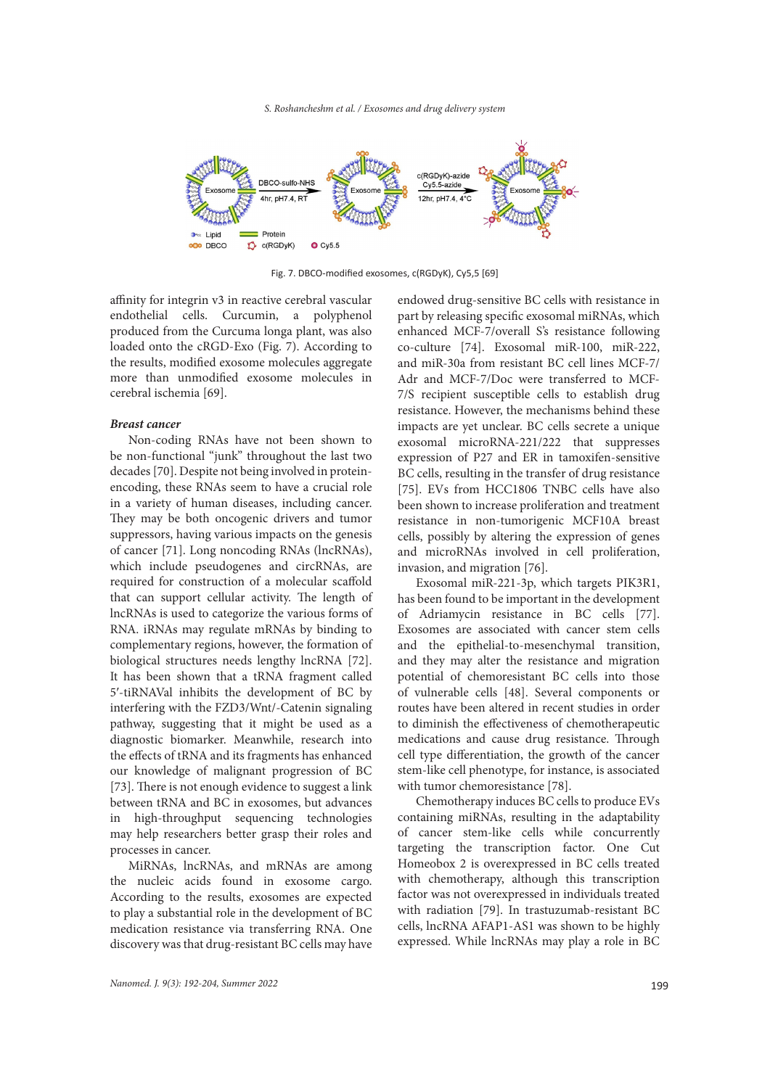

Fig. 7. DBCO-modified exosomes, c(RGDyK), Cy5,5 [69]

affinity for integrin v3 in reactive cerebral vascular endothelial cells. Curcumin, a polyphenol produced from the Curcuma longa plant, was also loaded onto the cRGD-Exo (Fig. 7). According to the results, modified exosome molecules aggregate more than unmodified exosome molecules in cerebral ischemia [69].

### *Breast cancer*

Non-coding RNAs have not been shown to be non-functional "junk" throughout the last two decades [70]. Despite not being involved in proteinencoding, these RNAs seem to have a crucial role in a variety of human diseases, including cancer. They may be both oncogenic drivers and tumor suppressors, having various impacts on the genesis of cancer [71]. Long noncoding RNAs (lncRNAs), which include pseudogenes and circRNAs, are required for construction of a molecular scaffold that can support cellular activity. The length of lncRNAs is used to categorize the various forms of RNA. iRNAs may regulate mRNAs by binding to complementary regions, however, the formation of biological structures needs lengthy lncRNA [72]. It has been shown that a tRNA fragment called 5′-tiRNAVal inhibits the development of BC by interfering with the FZD3/Wnt/-Catenin signaling pathway, suggesting that it might be used as a diagnostic biomarker. Meanwhile, research into the effects of tRNA and its fragments has enhanced our knowledge of malignant progression of BC [73]. There is not enough evidence to suggest a link between tRNA and BC in exosomes, but advances in high-throughput sequencing technologies may help researchers better grasp their roles and processes in cancer.

MiRNAs, lncRNAs, and mRNAs are among the nucleic acids found in exosome cargo. According to the results, exosomes are expected to play a substantial role in the development of BC medication resistance via transferring RNA. One discovery was that drug-resistant BC cells may have endowed drug-sensitive BC cells with resistance in part by releasing specific exosomal miRNAs, which enhanced MCF-7/overall S's resistance following co-culture [74]. Exosomal miR-100, miR-222, and miR-30a from resistant BC cell lines MCF-7/ Adr and MCF-7/Doc were transferred to MCF-7/S recipient susceptible cells to establish drug resistance. However, the mechanisms behind these impacts are yet unclear. BC cells secrete a unique exosomal microRNA-221/222 that suppresses expression of P27 and ER in tamoxifen-sensitive BC cells, resulting in the transfer of drug resistance [75]. EVs from HCC1806 TNBC cells have also been shown to increase proliferation and treatment resistance in non-tumorigenic MCF10A breast cells, possibly by altering the expression of genes and microRNAs involved in cell proliferation, invasion, and migration [76].

Exosomal miR-221-3p, which targets PIK3R1, has been found to be important in the development of Adriamycin resistance in BC cells [77]. Exosomes are associated with cancer stem cells and the epithelial-to-mesenchymal transition, and they may alter the resistance and migration potential of chemoresistant BC cells into those of vulnerable cells [48]. Several components or routes have been altered in recent studies in order to diminish the effectiveness of chemotherapeutic medications and cause drug resistance. Through cell type differentiation, the growth of the cancer stem-like cell phenotype, for instance, is associated with tumor chemoresistance [78].

Chemotherapy induces BC cells to produce EVs containing miRNAs, resulting in the adaptability of cancer stem-like cells while concurrently targeting the transcription factor. One Cut Homeobox 2 is overexpressed in BC cells treated with chemotherapy, although this transcription factor was not overexpressed in individuals treated with radiation [79]. In trastuzumab-resistant BC cells, lncRNA AFAP1-AS1 was shown to be highly expressed. While lncRNAs may play a role in BC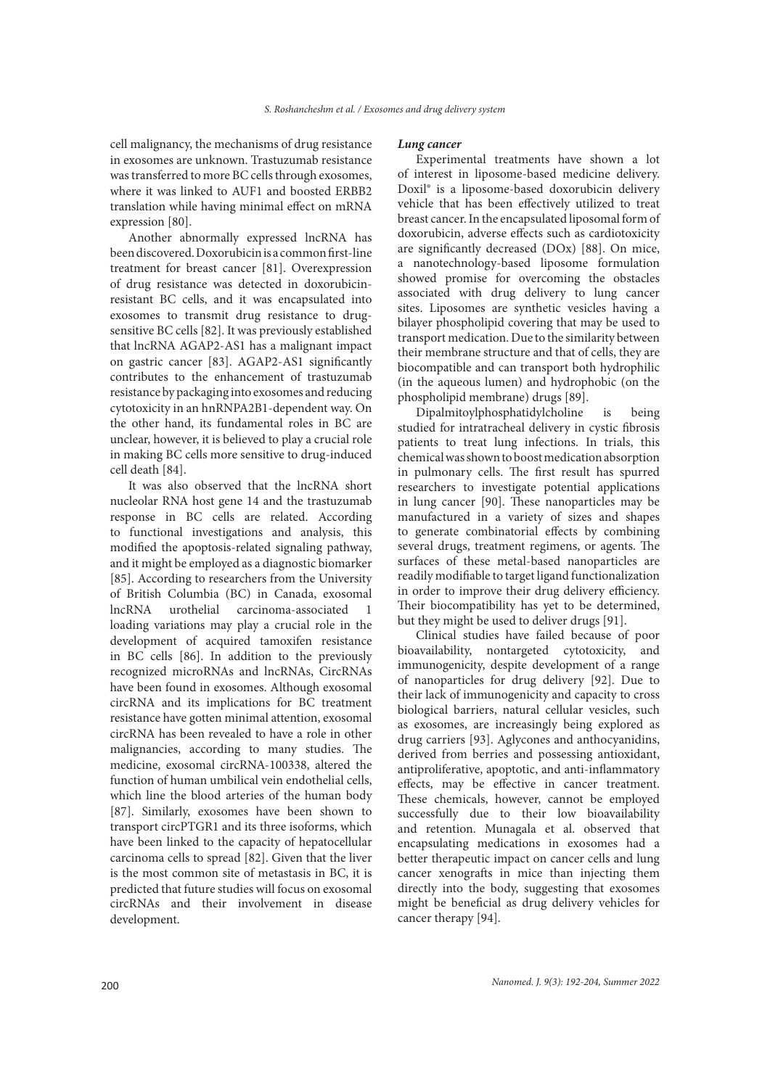cell malignancy, the mechanisms of drug resistance in exosomes are unknown. Trastuzumab resistance was transferred to more BC cells through exosomes, where it was linked to AUF1 and boosted ERBB2 translation while having minimal effect on mRNA expression [80].

Another abnormally expressed lncRNA has been discovered. Doxorubicin is a common first-line treatment for breast cancer [81]. Overexpression of drug resistance was detected in doxorubicinresistant BC cells, and it was encapsulated into exosomes to transmit drug resistance to drugsensitive BC cells [82]. It was previously established that lncRNA AGAP2-AS1 has a malignant impact on gastric cancer [83]. AGAP2-AS1 significantly contributes to the enhancement of trastuzumab resistance by packaging into exosomes and reducing cytotoxicity in an hnRNPA2B1-dependent way. On the other hand, its fundamental roles in BC are unclear, however, it is believed to play a crucial role in making BC cells more sensitive to drug-induced cell death [84].

It was also observed that the lncRNA short nucleolar RNA host gene 14 and the trastuzumab response in BC cells are related. According to functional investigations and analysis, this modified the apoptosis-related signaling pathway, and it might be employed as a diagnostic biomarker [85]. According to researchers from the University of British Columbia (BC) in Canada, exosomal lncRNA urothelial carcinoma-associated 1 loading variations may play a crucial role in the development of acquired tamoxifen resistance in BC cells [86]. In addition to the previously recognized microRNAs and lncRNAs, CircRNAs have been found in exosomes. Although exosomal circRNA and its implications for BC treatment resistance have gotten minimal attention, exosomal circRNA has been revealed to have a role in other malignancies, according to many studies. The medicine, exosomal circRNA-100338, altered the function of human umbilical vein endothelial cells, which line the blood arteries of the human body [87]. Similarly, exosomes have been shown to transport circPTGR1 and its three isoforms, which have been linked to the capacity of hepatocellular carcinoma cells to spread [82]. Given that the liver is the most common site of metastasis in BC, it is predicted that future studies will focus on exosomal circRNAs and their involvement in disease development.

#### *Lung cancer*

Experimental treatments have shown a lot of interest in liposome-based medicine delivery. Doxil® is a liposome-based doxorubicin delivery vehicle that has been effectively utilized to treat breast cancer. In the encapsulated liposomal form of doxorubicin, adverse effects such as cardiotoxicity are significantly decreased (DOx) [88]. On mice, a nanotechnology-based liposome formulation showed promise for overcoming the obstacles associated with drug delivery to lung cancer sites. Liposomes are synthetic vesicles having a bilayer phospholipid covering that may be used to transport medication. Due to the similarity between their membrane structure and that of cells, they are biocompatible and can transport both hydrophilic (in the aqueous lumen) and hydrophobic (on the phospholipid membrane) drugs [89].

Dipalmitoylphosphatidylcholine is being studied for intratracheal delivery in cystic fibrosis patients to treat lung infections. In trials, this chemical was shown to boost medication absorption in pulmonary cells. The first result has spurred researchers to investigate potential applications in lung cancer [90]. These nanoparticles may be manufactured in a variety of sizes and shapes to generate combinatorial effects by combining several drugs, treatment regimens, or agents. The surfaces of these metal-based nanoparticles are readily modifiable to target ligand functionalization in order to improve their drug delivery efficiency. Their biocompatibility has yet to be determined, but they might be used to deliver drugs [91].

Clinical studies have failed because of poor bioavailability, nontargeted cytotoxicity, and immunogenicity, despite development of a range of nanoparticles for drug delivery [92]. Due to their lack of immunogenicity and capacity to cross biological barriers, natural cellular vesicles, such as exosomes, are increasingly being explored as drug carriers [93]. Aglycones and anthocyanidins, derived from berries and possessing antioxidant, antiproliferative, apoptotic, and anti-inflammatory effects, may be effective in cancer treatment. These chemicals, however, cannot be employed successfully due to their low bioavailability and retention. Munagala et al. observed that encapsulating medications in exosomes had a better therapeutic impact on cancer cells and lung cancer xenografts in mice than injecting them directly into the body, suggesting that exosomes might be beneficial as drug delivery vehicles for cancer therapy [94].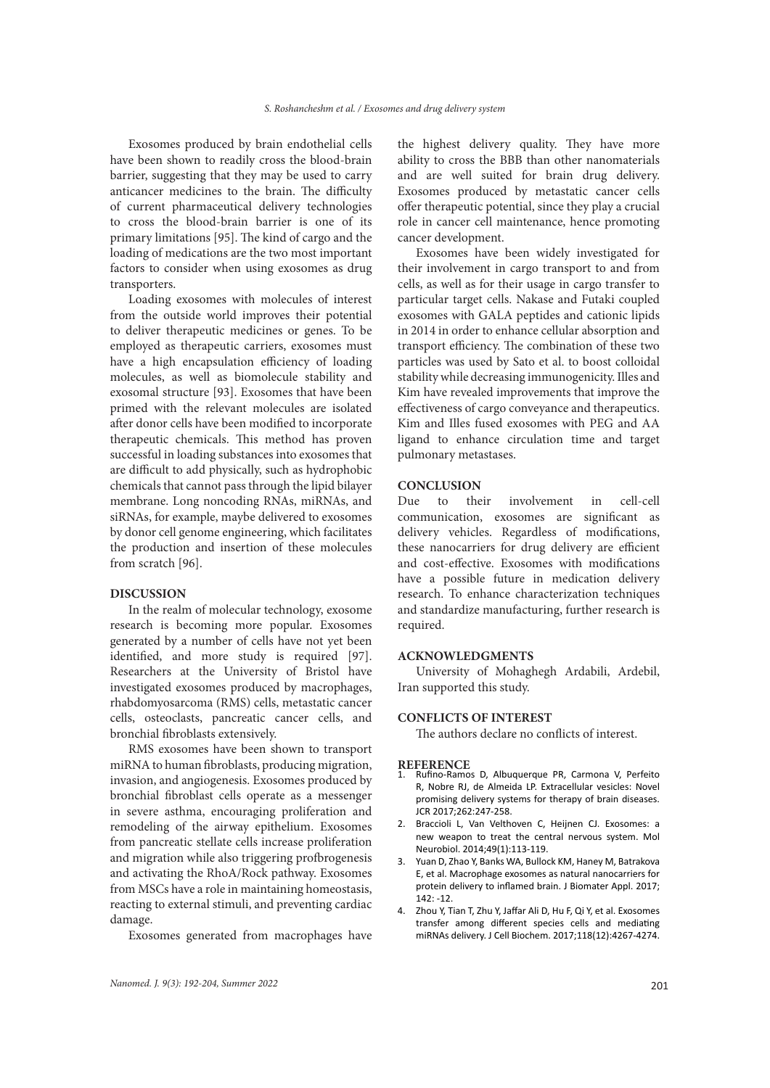Exosomes produced by brain endothelial cells have been shown to readily cross the blood-brain barrier, suggesting that they may be used to carry anticancer medicines to the brain. The difficulty of current pharmaceutical delivery technologies to cross the blood-brain barrier is one of its primary limitations [95]. The kind of cargo and the loading of medications are the two most important factors to consider when using exosomes as drug transporters.

Loading exosomes with molecules of interest from the outside world improves their potential to deliver therapeutic medicines or genes. To be employed as therapeutic carriers, exosomes must have a high encapsulation efficiency of loading molecules, as well as biomolecule stability and exosomal structure [93]. Exosomes that have been primed with the relevant molecules are isolated after donor cells have been modified to incorporate therapeutic chemicals. This method has proven successful in loading substances into exosomes that are difficult to add physically, such as hydrophobic chemicals that cannot pass through the lipid bilayer membrane. Long noncoding RNAs, miRNAs, and siRNAs, for example, maybe delivered to exosomes by donor cell genome engineering, which facilitates the production and insertion of these molecules from scratch [96].

### **DISCUSSION**

In the realm of molecular technology, exosome research is becoming more popular. Exosomes generated by a number of cells have not yet been identified, and more study is required [97]. Researchers at the University of Bristol have investigated exosomes produced by macrophages, rhabdomyosarcoma (RMS) cells, metastatic cancer cells, osteoclasts, pancreatic cancer cells, and bronchial fibroblasts extensively.

RMS exosomes have been shown to transport miRNA to human fibroblasts, producing migration, invasion, and angiogenesis. Exosomes produced by bronchial fibroblast cells operate as a messenger in severe asthma, encouraging proliferation and remodeling of the airway epithelium. Exosomes from pancreatic stellate cells increase proliferation and migration while also triggering profbrogenesis and activating the RhoA/Rock pathway. Exosomes from MSCs have a role in maintaining homeostasis, reacting to external stimuli, and preventing cardiac damage.

Exosomes generated from macrophages have

*Nanomed. J. 9(3): 192-204, Summer 2022* 201

the highest delivery quality. They have more ability to cross the BBB than other nanomaterials and are well suited for brain drug delivery. Exosomes produced by metastatic cancer cells offer therapeutic potential, since they play a crucial role in cancer cell maintenance, hence promoting cancer development.

Exosomes have been widely investigated for their involvement in cargo transport to and from cells, as well as for their usage in cargo transfer to particular target cells. Nakase and Futaki coupled exosomes with GALA peptides and cationic lipids in 2014 in order to enhance cellular absorption and transport efficiency. The combination of these two particles was used by Sato et al. to boost colloidal stability while decreasing immunogenicity. Illes and Kim have revealed improvements that improve the effectiveness of cargo conveyance and therapeutics. Kim and Illes fused exosomes with PEG and AA ligand to enhance circulation time and target pulmonary metastases.

### **CONCLUSION**

Due to their involvement in cell-cell communication, exosomes are significant as delivery vehicles. Regardless of modifications, these nanocarriers for drug delivery are efficient and cost-effective. Exosomes with modifications have a possible future in medication delivery research. To enhance characterization techniques and standardize manufacturing, further research is required.

### **ACKNOWLEDGMENTS**

University of Mohaghegh Ardabili, Ardebil, Iran supported this study.

### **CONFLICTS OF INTEREST**

The authors declare no conflicts of interest.

#### **REFERENCE**

- 1. Rufino-Ramos D, Albuquerque PR, Carmona V, Perfeito R, Nobre RJ, de Almeida LP. Extracellular vesicles: Novel promising delivery systems for therapy of brain diseases. JCR 2017;262:247-258.
- 2. Braccioli L, Van Velthoven C, Heijnen CJ. Exosomes: a new weapon to treat the central nervous system. Mol Neurobiol. 2014;49(1):113-119.
- 3. Yuan D, Zhao Y, Banks WA, Bullock KM, Haney M, Batrakova E, et al. Macrophage exosomes as natural nanocarriers for protein delivery to inflamed brain. J Biomater Appl. 2017; 142: -12.
- 4. Zhou Y, Tian T, Zhu Y, Jaffar Ali D, Hu F, Qi Y, et al. Exosomes transfer among different species cells and mediating miRNAs delivery. J Cell Biochem. 2017;118(12):4267-4274.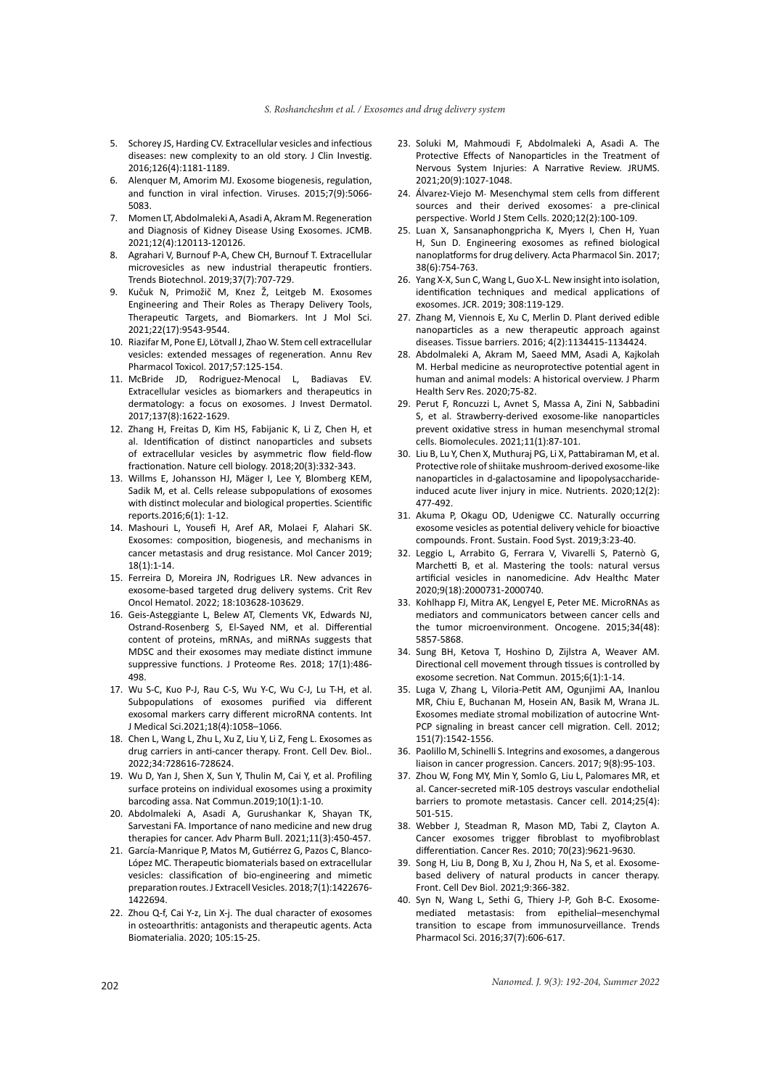- 5. Schorey JS, Harding CV. Extracellular vesicles and infectious diseases: new complexity to an old story. J Clin Investig. 2016;126(4):1181-1189.
- 6. Alenquer M, Amorim MJ. Exosome biogenesis, regulation, and function in viral infection. Viruses. 2015;7(9):5066- 5083.
- 7. Momen LT, Abdolmaleki A, Asadi A, Akram M. Regeneration and Diagnosis of Kidney Disease Using Exosomes. JCMB. 2021;12(4):120113-120126.
- 8. Agrahari V, Burnouf P-A, Chew CH, Burnouf T. Extracellular microvesicles as new industrial therapeutic frontiers. Trends Biotechnol. 2019;37(7):707-729.
- 9. Kučuk N, Primožič M, Knez Ž, Leitgeb M. Exosomes Engineering and Their Roles as Therapy Delivery Tools, Therapeutic Targets, and Biomarkers. Int J Mol Sci. 2021;22(17):9543-9544.
- 10. Riazifar M, Pone EJ, Lötvall J, Zhao W. Stem cell extracellular vesicles: extended messages of regeneration. Annu Rev Pharmacol Toxicol. 2017;57:125-154.
- 11. McBride JD, Rodriguez-Menocal L, Badiavas EV. Extracellular vesicles as biomarkers and therapeutics in dermatology: a focus on exosomes. J Invest Dermatol. 2017;137(8):1622-1629.
- 12. Zhang H, Freitas D, Kim HS, Fabijanic K, Li Z, Chen H, et al. Identification of distinct nanoparticles and subsets of extracellular vesicles by asymmetric flow field-flow fractionation. Nature cell biology. 2018;20(3):332-343.
- 13. Willms E, Johansson HJ, Mäger I, Lee Y, Blomberg KEM, Sadik M, et al. Cells release subpopulations of exosomes with distinct molecular and biological properties. Scientific reports.2016;6(1): 1-12.
- 14. Mashouri L, Yousefi H, Aref AR, Molaei F, Alahari SK. Exosomes: composition, biogenesis, and mechanisms in cancer metastasis and drug resistance. Mol Cancer 2019; 18(1):1-14.
- 15. Ferreira D, Moreira JN, Rodrigues LR. New advances in exosome-based targeted drug delivery systems. Crit Rev Oncol Hematol. 2022; 18:103628-103629.
- 16. Geis-Asteggiante L, Belew AT, Clements VK, Edwards NJ, Ostrand-Rosenberg S, El-Sayed NM, et al. Differential content of proteins, mRNAs, and miRNAs suggests that MDSC and their exosomes may mediate distinct immune suppressive functions. J Proteome Res. 2018; 17(1):486- 498.
- 17. Wu S-C, Kuo P-J, Rau C-S, Wu Y-C, Wu C-J, Lu T-H, et al. Subpopulations of exosomes purified via different exosomal markers carry different microRNA contents. Int J Medical Sci.2021;18(4):1058–1066.
- 18. Chen L, Wang L, Zhu L, Xu Z, Liu Y, Li Z, Feng L. Exosomes as drug carriers in anti-cancer therapy. Front. Cell Dev. Biol.. 2022;34:728616-728624.
- 19. Wu D, Yan J, Shen X, Sun Y, Thulin M, Cai Y, et al. Profiling surface proteins on individual exosomes using a proximity barcoding assa. Nat Commun.2019;10(1):1-10.
- 20. Abdolmaleki A, Asadi A, Gurushankar K, Shayan TK, Sarvestani FA. Importance of nano medicine and new drug therapies for cancer. Adv Pharm Bull. 2021;11(3):450-457.
- 21. García-Manrique P, Matos M, Gutiérrez G, Pazos C, Blanco-López MC. Therapeutic biomaterials based on extracellular vesicles: classification of bio-engineering and mimetic preparation routes. J Extracell Vesicles. 2018;7(1):1422676- 1422694.
- 22. Zhou Q-f, Cai Y-z, Lin X-j. The dual character of exosomes in osteoarthritis: antagonists and therapeutic agents. Acta Biomaterialia. 2020; 105:15-25.
- 23. Soluki M, Mahmoudi F, Abdolmaleki A, Asadi A. The Protective Effects of Nanoparticles in the Treatment of Nervous System Injuries: A Narrative Review. JRUMS. 2021;20(9):1027-1048.
- 24. Álvarez-Viejo M. Mesenchymal stem cells from different sources and their derived exosomes: a pre-clinical perspective. World J Stem Cells. 2020;12(2):100-109.
- 25. Luan X, Sansanaphongpricha K, Myers I, Chen H, Yuan H, Sun D. Engineering exosomes as refined biological nanoplatforms for drug delivery. Acta Pharmacol Sin. 2017; 38(6):754-763.
- 26. Yang X-X, Sun C, Wang L, Guo X-L. New insight into isolation, identification techniques and medical applications of exosomes. JCR. 2019; 308:119-129.
- 27. Zhang M, Viennois E, Xu C, Merlin D. Plant derived edible nanoparticles as a new therapeutic approach against diseases. Tissue barriers. 2016; 4(2):1134415-1134424.
- 28. Abdolmaleki A, Akram M, Saeed MM, Asadi A, Kajkolah M. Herbal medicine as neuroprotective potential agent in human and animal models: A historical overview. J Pharm Health Serv Res. 2020;75-82.
- 29. Perut F, Roncuzzi L, Avnet S, Massa A, Zini N, Sabbadini S, et al. Strawberry-derived exosome-like nanoparticles prevent oxidative stress in human mesenchymal stromal cells. Biomolecules. 2021;11(1):87-101.
- 30. Liu B, Lu Y, Chen X, Muthuraj PG, Li X, Pattabiraman M, et al. Protective role of shiitake mushroom-derived exosome-like nanoparticles in d-galactosamine and lipopolysaccharideinduced acute liver injury in mice. Nutrients. 2020;12(2): 477-492.
- 31. Akuma P, Okagu OD, Udenigwe CC. Naturally occurring exosome vesicles as potential delivery vehicle for bioactive compounds. Front. Sustain. Food Syst. 2019;3:23-40.
- 32. Leggio L, Arrabito G, Ferrara V, Vivarelli S, Paternò G, Marchetti B, et al. Mastering the tools: natural versus artificial vesicles in nanomedicine. Adv Healthc Mater 2020;9(18):2000731-2000740.
- 33. Kohlhapp FJ, Mitra AK, Lengyel E, Peter ME. MicroRNAs as mediators and communicators between cancer cells and the tumor microenvironment. Oncogene. 2015;34(48): 5857-5868.
- 34. Sung BH, Ketova T, Hoshino D, Zijlstra A, Weaver AM. Directional cell movement through tissues is controlled by exosome secretion. Nat Commun. 2015;6(1):1-14.
- 35. Luga V, Zhang L, Viloria-Petit AM, Ogunjimi AA, Inanlou MR, Chiu E, Buchanan M, Hosein AN, Basik M, Wrana JL. Exosomes mediate stromal mobilization of autocrine Wnt-PCP signaling in breast cancer cell migration. Cell. 2012; 151(7):1542-1556.
- 36. Paolillo M, Schinelli S. Integrins and exosomes, a dangerous liaison in cancer progression. Cancers. 2017; 9(8):95-103.
- 37. Zhou W, Fong MY, Min Y, Somlo G, Liu L, Palomares MR, et al. Cancer-secreted miR-105 destroys vascular endothelial barriers to promote metastasis. Cancer cell. 2014;25(4): 501-515.
- 38. Webber J, Steadman R, Mason MD, Tabi Z, Clayton A. Cancer exosomes trigger fibroblast to myofibroblast differentiation. Cancer Res. 2010; 70(23):9621-9630.
- 39. Song H, Liu B, Dong B, Xu J, Zhou H, Na S, et al. Exosomebased delivery of natural products in cancer therapy. Front. Cell Dev Biol. 2021;9:366-382.
- 40. Syn N, Wang L, Sethi G, Thiery J-P, Goh B-C. Exosomemediated metastasis: from epithelial–mesenchymal transition to escape from immunosurveillance. Trends Pharmacol Sci. 2016;37(7):606-617.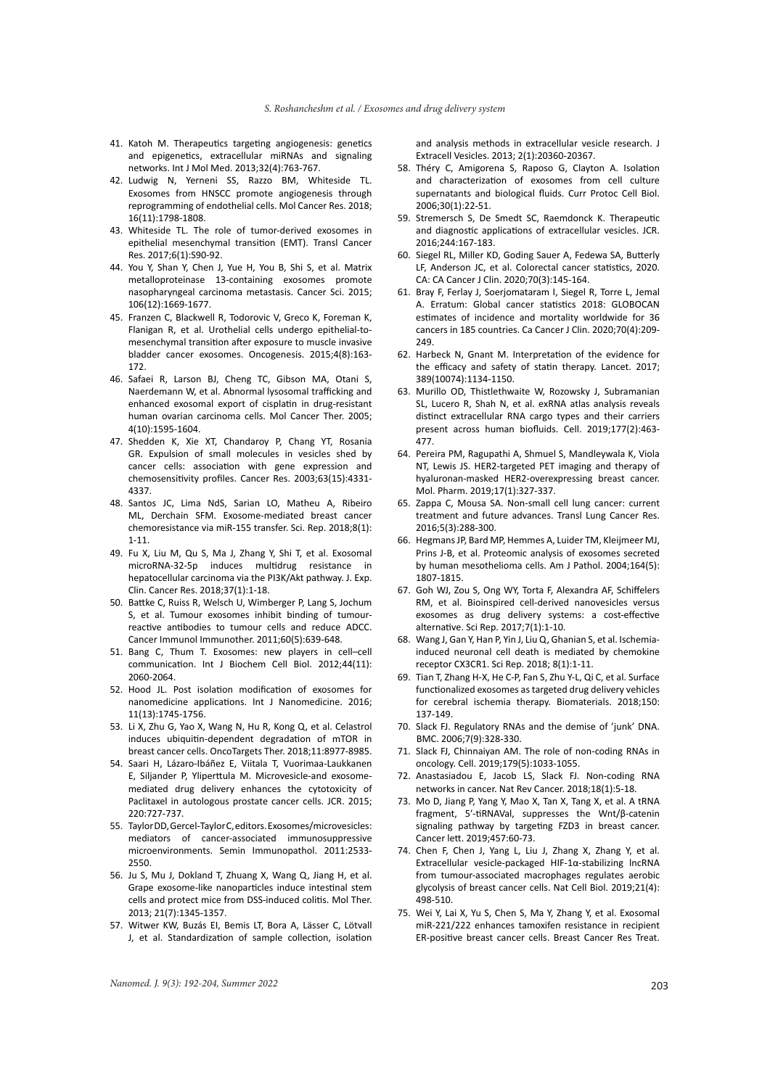- 41. Katoh M. Therapeutics targeting angiogenesis: genetics and epigenetics, extracellular miRNAs and signaling networks. Int J Mol Med. 2013;32(4):763-767.
- 42. Ludwig N, Yerneni SS, Razzo BM, Whiteside TL. Exosomes from HNSCC promote angiogenesis through reprogramming of endothelial cells. Mol Cancer Res. 2018; 16(11):1798-1808.
- 43. Whiteside TL. The role of tumor-derived exosomes in epithelial mesenchymal transition (EMT). Transl Cancer Res. 2017;6(1):S90-92.
- 44. You Y, Shan Y, Chen J, Yue H, You B, Shi S, et al. Matrix metalloproteinase 13-containing exosomes promote nasopharyngeal carcinoma metastasis. Cancer Sci. 2015; 106(12):1669-1677.
- 45. Franzen C, Blackwell R, Todorovic V, Greco K, Foreman K, Flanigan R, et al. Urothelial cells undergo epithelial-tomesenchymal transition after exposure to muscle invasive bladder cancer exosomes. Oncogenesis. 2015;4(8):163- 172.
- 46. Safaei R, Larson BJ, Cheng TC, Gibson MA, Otani S, Naerdemann W, et al. Abnormal lysosomal trafficking and enhanced exosomal export of cisplatin in drug-resistant human ovarian carcinoma cells. Mol Cancer Ther. 2005; 4(10):1595-1604.
- 47. Shedden K, Xie XT, Chandaroy P, Chang YT, Rosania GR. Expulsion of small molecules in vesicles shed by cancer cells: association with gene expression and chemosensitivity profiles. Cancer Res. 2003;63(15):4331- 4337.
- 48. Santos JC, Lima NdS, Sarian LO, Matheu A, Ribeiro ML, Derchain SFM. Exosome-mediated breast cancer chemoresistance via miR-155 transfer. Sci. Rep. 2018;8(1): 1-11.
- 49. Fu X, Liu M, Qu S, Ma J, Zhang Y, Shi T, et al. Exosomal microRNA-32-5p induces multidrug resistance hepatocellular carcinoma via the PI3K/Akt pathway. J. Exp. Clin. Cancer Res. 2018;37(1):1-18.
- 50. Battke C, Ruiss R, Welsch U, Wimberger P, Lang S, Jochum S, et al. Tumour exosomes inhibit binding of tumourreactive antibodies to tumour cells and reduce ADCC. Cancer Immunol Immunother. 2011;60(5):639-648.
- 51. Bang C, Thum T. Exosomes: new players in cell–cell communication. Int J Biochem Cell Biol. 2012;44(11): 2060-2064.
- 52. Hood JL. Post isolation modification of exosomes for nanomedicine applications. Int J Nanomedicine. 2016; 11(13):1745-1756.
- 53. Li X, Zhu G, Yao X, Wang N, Hu R, Kong Q, et al. Celastrol induces ubiquitin-dependent degradation of mTOR in breast cancer cells. OncoTargets Ther. 2018;11:8977-8985.
- 54. Saari H, Lázaro-Ibáñez E, Viitala T, Vuorimaa-Laukkanen E, Siljander P, Yliperttula M. Microvesicle-and exosomemediated drug delivery enhances the cytotoxicity of Paclitaxel in autologous prostate cancer cells. JCR. 2015; 220:727-737.
- 55. Taylor DD, Gercel-Taylor C, editors. Exosomes/microvesicles: mediators of cancer-associated immunosuppressive microenvironments. Semin Immunopathol. 2011:2533- 2550.
- 56. Ju S, Mu J, Dokland T, Zhuang X, Wang Q, Jiang H, et al. Grape exosome-like nanoparticles induce intestinal stem cells and protect mice from DSS-induced colitis. Mol Ther. 2013; 21(7):1345-1357.
- 57. Witwer KW, Buzás EI, Bemis LT, Bora A, Lässer C, Lötvall J, et al. Standardization of sample collection, isolation

and analysis methods in extracellular vesicle research. J Extracell Vesicles. 2013; 2(1):20360-20367.

- 58. Théry C, Amigorena S, Raposo G, Clayton A. Isolation and characterization of exosomes from cell culture supernatants and biological fluids. Curr Protoc Cell Biol. 2006;30(1):22-51.
- 59. Stremersch S, De Smedt SC, Raemdonck K. Therapeutic and diagnostic applications of extracellular vesicles. JCR. 2016;244:167-183.
- 60. Siegel RL, Miller KD, Goding Sauer A, Fedewa SA, Butterly LF, Anderson JC, et al. Colorectal cancer statistics, 2020. CA: CA Cancer J Clin. 2020;70(3):145-164.
- 61. Bray F, Ferlay J, Soerjomataram I, Siegel R, Torre L, Jemal A. Erratum: Global cancer statistics 2018: GLOBOCAN estimates of incidence and mortality worldwide for 36 cancers in 185 countries. Ca Cancer J Clin. 2020;70(4):209- 249.
- 62. Harbeck N, Gnant M. Interpretation of the evidence for the efficacy and safety of statin therapy. Lancet. 2017; 389(10074):1134-1150.
- 63. Murillo OD, Thistlethwaite W, Rozowsky J, Subramanian SL, Lucero R, Shah N, et al. exRNA atlas analysis reveals distinct extracellular RNA cargo types and their carriers present across human biofluids. Cell. 2019;177(2):463- 477.
- 64. Pereira PM, Ragupathi A, Shmuel S, Mandleywala K, Viola NT, Lewis JS. HER2-targeted PET imaging and therapy of hyaluronan-masked HER2-overexpressing breast cancer. Mol. Pharm. 2019;17(1):327-337.
- 65. Zappa C, Mousa SA. Non-small cell lung cancer: current treatment and future advances. Transl Lung Cancer Res. 2016;5(3):288-300.
- 66. Hegmans JP, Bard MP, Hemmes A, Luider TM, Kleijmeer MJ, Prins J-B, et al. Proteomic analysis of exosomes secreted by human mesothelioma cells. Am J Pathol. 2004;164(5): 1807-1815.
- 67. Goh WJ, Zou S, Ong WY, Torta F, Alexandra AF, Schiffelers RM, et al. Bioinspired cell-derived nanovesicles versus exosomes as drug delivery systems: a cost-effective alternative. Sci Rep. 2017;7(1):1-10.
- 68. Wang J, Gan Y, Han P, Yin J, Liu Q, Ghanian S, et al. Ischemiainduced neuronal cell death is mediated by chemokine receptor CX3CR1. Sci Rep. 2018; 8(1):1-11.
- 69. Tian T, Zhang H-X, He C-P, Fan S, Zhu Y-L, Qi C, et al. Surface functionalized exosomes as targeted drug delivery vehicles for cerebral ischemia therapy. Biomaterials. 2018;150: 137-149.
- 70. Slack FJ. Regulatory RNAs and the demise of 'junk' DNA. BMC. 2006;7(9):328-330.
- 71. Slack FJ, Chinnaiyan AM. The role of non-coding RNAs in oncology. Cell. 2019;179(5):1033-1055.
- 72. Anastasiadou E, Jacob LS, Slack FJ. Non-coding RNA networks in cancer. Nat Rev Cancer. 2018;18(1):5-18.
- 73. Mo D, Jiang P, Yang Y, Mao X, Tan X, Tang X, et al. A tRNA fragment, 5′-tiRNAVal, suppresses the Wnt/β-catenin signaling pathway by targeting FZD3 in breast cancer. Cancer lett. 2019;457:60-73.
- 74. Chen F, Chen J, Yang L, Liu J, Zhang X, Zhang Y, et al. Extracellular vesicle-packaged HIF-1α-stabilizing lncRNA from tumour-associated macrophages regulates aerobic glycolysis of breast cancer cells. Nat Cell Biol. 2019;21(4): 498-510.
- 75. Wei Y, Lai X, Yu S, Chen S, Ma Y, Zhang Y, et al. Exosomal miR-221/222 enhances tamoxifen resistance in recipient ER-positive breast cancer cells. Breast Cancer Res Treat.